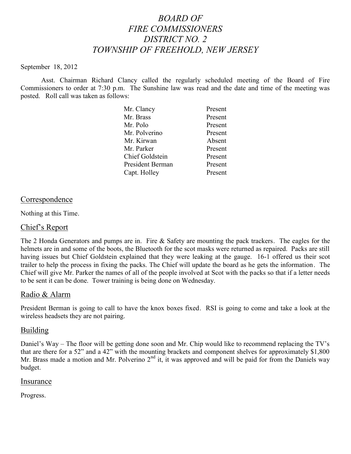# *BOARD OF FIRE COMMISSIONERS DISTRICT NO. 2 TOWNSHIP OF FREEHOLD, NEW JERSEY*

#### September 18, 2012

Asst. Chairman Richard Clancy called the regularly scheduled meeting of the Board of Fire Commissioners to order at 7:30 p.m. The Sunshine law was read and the date and time of the meeting was posted. Roll call was taken as follows:

| Mr. Clancy             | Present |
|------------------------|---------|
| Mr. Brass              | Present |
| Mr. Polo               | Present |
| Mr. Polverino          | Present |
| Mr. Kirwan             | Absent  |
| Mr. Parker             | Present |
| <b>Chief Goldstein</b> | Present |
| President Berman       | Present |
| Capt. Holley           | Present |

### **Correspondence**

Nothing at this Time.

#### Chief's Report

The 2 Honda Generators and pumps are in. Fire & Safety are mounting the pack trackers. The eagles for the helmets are in and some of the boots, the Bluetooth for the scot masks were returned as repaired. Packs are still having issues but Chief Goldstein explained that they were leaking at the gauge. 16-1 offered us their scot trailer to help the process in fixing the packs. The Chief will update the board as he gets the information. The Chief will give Mr. Parker the names of all of the people involved at Scot with the packs so that if a letter needs to be sent it can be done. Tower training is being done on Wednesday.

### Radio & Alarm

President Berman is going to call to have the knox boxes fixed. RSI is going to come and take a look at the wireless headsets they are not pairing.

### Building

Daniel's Way – The floor will be getting done soon and Mr. Chip would like to recommend replacing the TV's that are there for a 52" and a 42" with the mounting brackets and component shelves for approximately \$1,800 Mr. Brass made a motion and Mr. Polverino  $2<sup>nd</sup>$  it, it was approved and will be paid for from the Daniels way budget.

#### Insurance

Progress.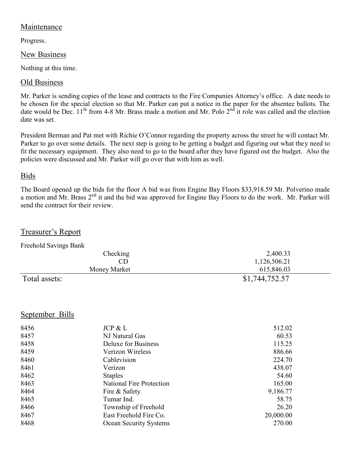## Maintenance

Progress.

## New Business

Nothing at this time.

## Old Business

Mr. Parker is sending copies of the lease and contracts to the Fire Companies Attorney's office. A date needs to be chosen for the special election so that Mr. Parker can put a notice in the paper for the absentee ballots. The date would be Dec.  $11^{th}$  from 4-8 Mr. Brass made a motion and Mr. Polo  $2^{nd}$  it role was called and the election date was set.

President Berman and Pat met with Richie O'Connor regarding the property across the street he will contact Mr. Parker to go over some details. The next step is going to be getting a budget and figuring out what they need to fit the necessary equipment. They also need to go to the board after they have figured out the budget. Also the policies were discussed and Mr. Parker will go over that with him as well.

## Bids

The Board opened up the bids for the floor A bid was from Engine Bay Floors \$33,918.59 Mr. Polverino made a motion and Mr. Brass 2<sup>nd</sup> it and the bid was approved for Engine Bay Floors to do the work. Mr. Parker will send the contract for their review.

Treasurer's Report

| Freehold Savings Bank |                |
|-----------------------|----------------|
| Checking              | 2,400.33       |
| CD                    | 1,126,506.21   |
| Money Market          | 615,846.03     |
| Total assets:         | \$1,744,752.57 |

## September Bills

| 8456 | JCP & L                  | 512.02    |
|------|--------------------------|-----------|
| 8457 | NJ Natural Gas           | 60.53     |
| 8458 | Deluxe for Business      | 115.25    |
| 8459 | Verizon Wireless         | 886.66    |
| 8460 | Cablevision              | 224.70    |
| 8461 | Verizon                  | 438.07    |
| 8462 | <b>Staples</b>           | 54.60     |
| 8463 | National Fire Protection | 165.00    |
| 8464 | Fire & Safety            | 9,186.77  |
| 8465 | Tumar Ind.               | 58.75     |
| 8466 | Township of Freehold     | 26.20     |
| 8467 | East Freehold Fire Co.   | 20,000.00 |
| 8468 | Ocean Security Systems   | 270.00    |